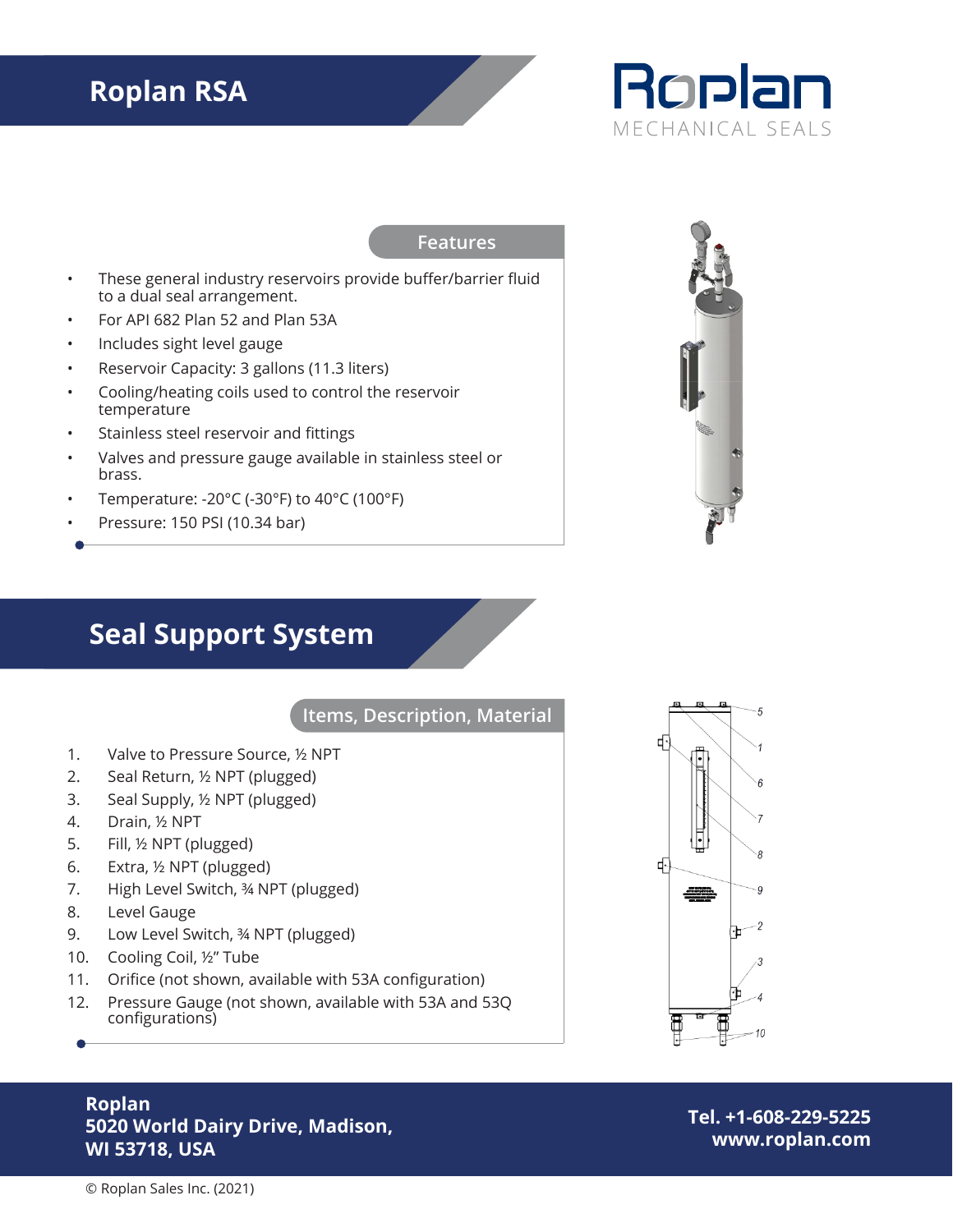# **Roplan RSA**



#### **Features**

- These general industry reservoirs provide buffer/barrier fluid to a dual seal arrangement.
- For API 682 Plan 52 and Plan 53A
- Includes sight level gauge
- Reservoir Capacity: 3 gallons (11.3 liters)
- Cooling/heating coils used to control the reservoir temperature
- Stainless steel reservoir and fittings
- Valves and pressure gauge available in stainless steel or brass.
- Temperature: -20°C (-30°F) to 40°C (100°F)
- Pressure: 150 PSI (10.34 bar)



### **Seal Support System**

#### **Items, Description, Material**

- 1. Valve to Pressure Source, ½ NPT
- 2. Seal Return, ½ NPT (plugged)
- 3. Seal Supply, ½ NPT (plugged)
- 4. Drain, ½ NPT
- 5. Fill, ½ NPT (plugged)
- 6. Extra, ½ NPT (plugged)
- 7. High Level Switch, ¾ NPT (plugged)
- 8. Level Gauge
- 9. Low Level Switch, 34 NPT (plugged)
- 10. Cooling Coil, ½" Tube
- 11. Orifice (not shown, available with 53A configuration)
- 12. Pressure Gauge (not shown, available with 53A and 53Q configurations)



#### **Roplan 5020 World Dairy Drive, Madison, WI 53718, USA**

**Tel. +1-608-229-5225 www.roplan.com**